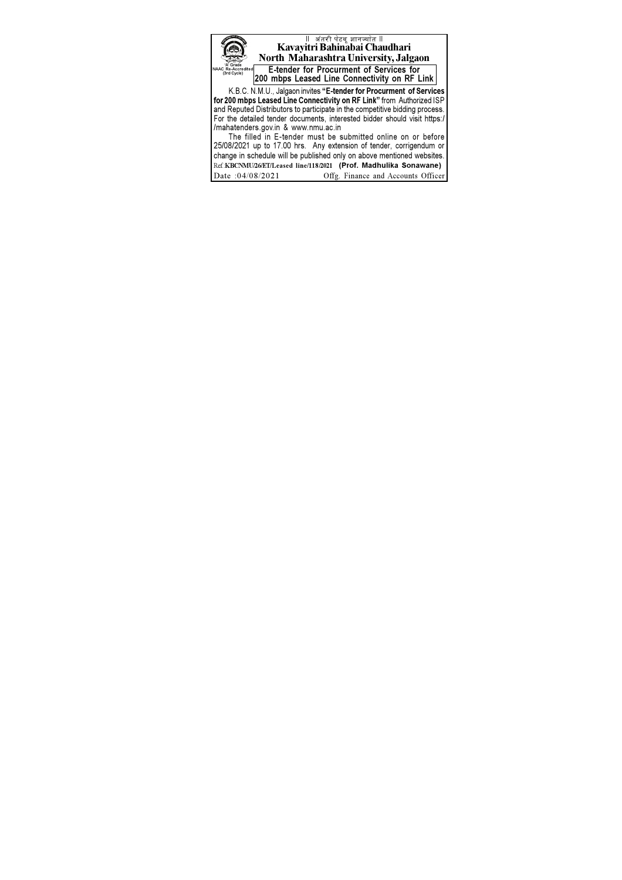् ॥ अंतरी पेटवू ज्ञानज्योत ॥<br>Kavayitri Bahinabai Chaudhari North Maharashtra University, Jalgaon **E-tender for Procurment of Services for** 

200 mbps Leased Line Connectivity on RF Link

K.B.C. N.M.U., Jalgaon invites "E-tender for Procurment of Services For 200 mbps Leased Line Connectivity on RF Link" from Authorized ISP<br>and Reputed Distributors to participate in the competitive bidding process. For the detailed tender documents, interested bidder should visit https:/ /mahatenders.gov.in & www.nmu.ac.in

The filled in E-tender must be submitted online on or before 25/08/2021 up to 17.00 hrs. Any extension of tender, corrigendum or change in schedule will be published only on above mentioned websites. Ref:KBCNMU/26/ET/Leased line/118/2021 (Prof. Madhulika Sonawane) Date: 04/08/2021 Offg. Finance and Accounts Officer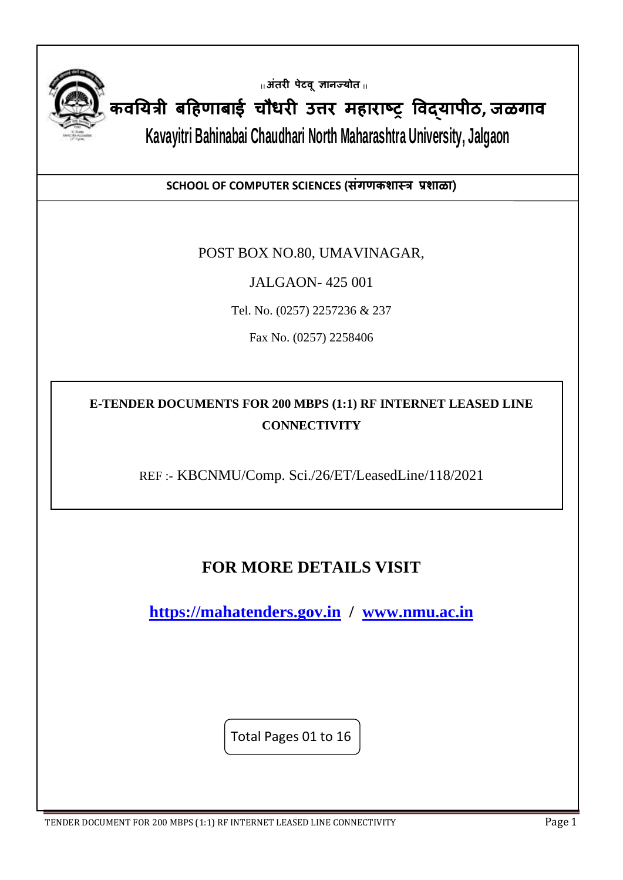

**|| अंतरी पेटवूज्ञानज्योत ||**

**कवययत्री बहिणाबाई चौधरी उत्तर मिाराष्ट्र ववद्यापीठ, जळगाव**

l

**Kavayitri Bahinabai Chaudhari North Maharashtra University, Jalgaon**

**SCHOOL OF COMPUTER SCIENCES (संगणकशास्त्त्र प्रशाळा)**

#### POST BOX NO.80, UMAVINAGAR,

JALGAON- 425 001

Tel. No. (0257) 2257236 & 237

Fax No. (0257) 2258406

**E-TENDER DOCUMENTS FOR 200 MBPS (1:1) RF INTERNET LEASED LINE CONNECTIVITY**

REF :- KBCNMU/Comp. Sci./26/ET/LeasedLine/118/2021

# **FOR MORE DETAILS VISIT**

**[https://mahatenders.gov.in](https://mahatenders.gov.in/) / [www.nmu.ac.in](http://www.nmu.ac.in/)**

Total Pages 01 to 16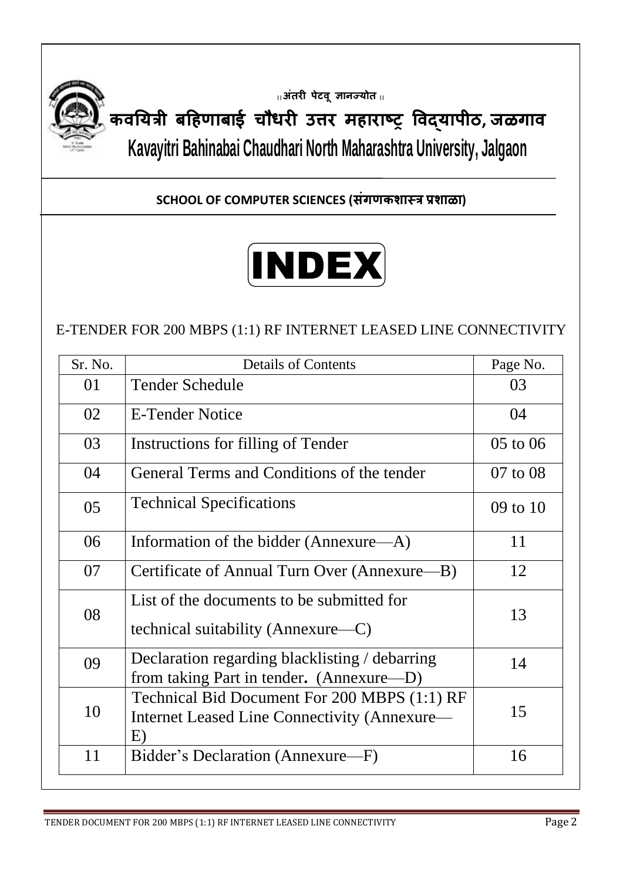

**|| अंतरी पेटवूज्ञानज्योत ||**

**कवययत्री बहिणाबाई चौधरी उत्तर मिाराष्ट्र ववद्यापीठ, जळगाव Kavayitri Bahinabai Chaudhari North Maharashtra University, Jalgaon**

**SCHOOL OF COMPUTER SCIENCES (संगणकशास्त्र प्रशाळा)**

# INDEX

## E-TENDER FOR 200 MBPS (1:1) RF INTERNET LEASED LINE CONNECTIVITY

| Sr. No. | <b>Details of Contents</b>                                                                         | Page No. |
|---------|----------------------------------------------------------------------------------------------------|----------|
| 01      | <b>Tender Schedule</b>                                                                             | 03       |
| 02      | <b>E-Tender Notice</b>                                                                             | 04       |
| 03      | Instructions for filling of Tender                                                                 | 05 to 06 |
| 04      | General Terms and Conditions of the tender                                                         | 07 to 08 |
| 05      | <b>Technical Specifications</b>                                                                    | 09 to 10 |
| 06      | Information of the bidder (Annexure—A)                                                             | 11       |
| 07      | Certificate of Annual Turn Over (Annexure—B)                                                       | 12       |
| 08      | List of the documents to be submitted for<br>technical suitability (Annexure—C)                    | 13       |
| 09      | Declaration regarding blacklisting / debarring<br>from taking Part in tender. (Annexure—D)         | 14       |
| 10      | Technical Bid Document For 200 MBPS (1:1) RF<br>Internet Leased Line Connectivity (Annexure—<br>E) | 15       |
| 11      | Bidder's Declaration (Annexure—F)                                                                  | 16       |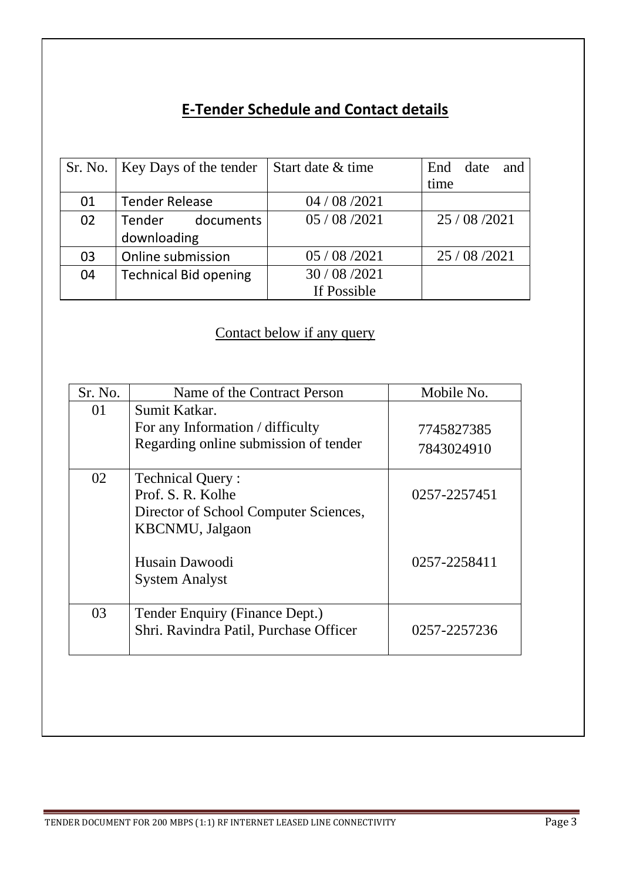# **E-Tender Schedule and Contact details**

|    | Sr. No.   Key Days of the tender | Start date & time | End date<br>and |
|----|----------------------------------|-------------------|-----------------|
|    |                                  |                   | time            |
| 01 | <b>Tender Release</b>            | 04 / 08 / 2021    |                 |
| 02 | Tender documents                 | 05/08/2021        | 25/08/2021      |
|    | downloading                      |                   |                 |
| 03 | Online submission                | 05 / 08 / 2021    | 25 / 08 / 2021  |
| 04 | <b>Technical Bid opening</b>     | 30/08/2021        |                 |
|    |                                  | If Possible       |                 |

# Contact below if any query

| Sr. No. | Name of the Contract Person            | Mobile No.   |
|---------|----------------------------------------|--------------|
| 01      | Sumit Katkar.                          |              |
|         | For any Information / difficulty       | 7745827385   |
|         | Regarding online submission of tender  | 7843024910   |
| 02      | <b>Technical Query:</b>                |              |
|         | Prof. S. R. Kolhe                      | 0257-2257451 |
|         | Director of School Computer Sciences,  |              |
|         | <b>KBCNMU</b> , Jalgaon                |              |
|         |                                        |              |
|         | Husain Dawoodi                         | 0257-2258411 |
|         | <b>System Analyst</b>                  |              |
| 03      | Tender Enquiry (Finance Dept.)         |              |
|         | Shri. Ravindra Patil, Purchase Officer | 0257-2257236 |
|         |                                        |              |
|         |                                        |              |
|         |                                        |              |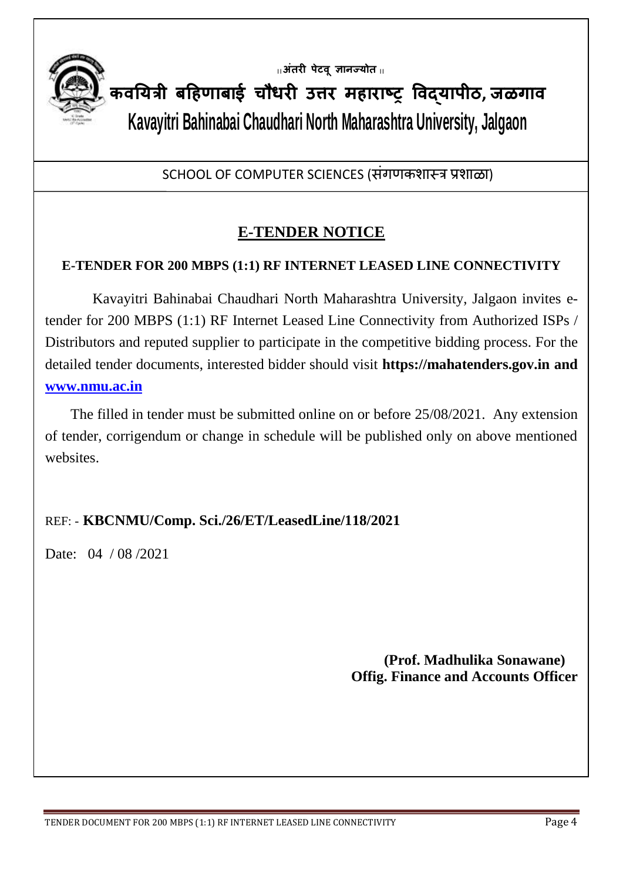

**|| अंतरी पेटवूज्ञानज्योत ||**

**कवययत्री बहिणाबाई चौधरी उत्तर मिाराष्ट्र ववद्यापीठ, जळगाव Kavayitri Bahinabai Chaudhari North Maharashtra University, Jalgaon**

SCHOOL OF COMPUTER SCIENCES (संगणकशास्त्र प्रशाळा)

# **E-TENDER NOTICE**

#### **E-TENDER FOR 200 MBPS (1:1) RF INTERNET LEASED LINE CONNECTIVITY**

 Kavayitri Bahinabai Chaudhari North Maharashtra University, Jalgaon invites etender for 200 MBPS (1:1) RF Internet Leased Line Connectivity from Authorized ISPs / Distributors and reputed supplier to participate in the competitive bidding process. For the detailed tender documents, interested bidder should visit **https://mahatenders.gov.in and [www.nmu.ac.in](http://www.nmu.ac.in/)**

 The filled in tender must be submitted online on or before 25/08/2021. Any extension of tender, corrigendum or change in schedule will be published only on above mentioned websites.

## REF: - **KBCNMU/Comp. Sci./26/ET/LeasedLine/118/2021**

Date: 04 / 08 / 2021

 **(Prof. Madhulika Sonawane) Offig. Finance and Accounts Officer**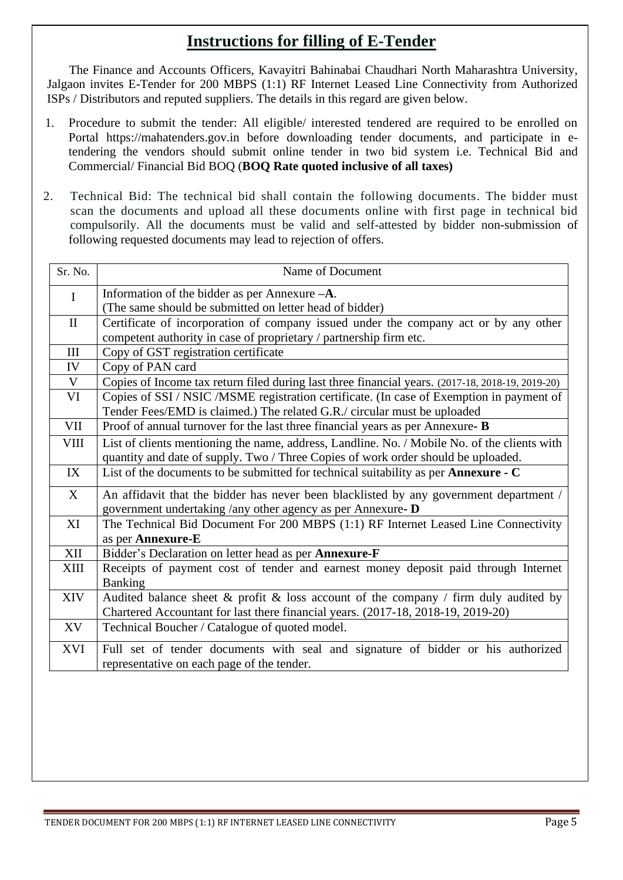## **Instructions for filling of E-Tender**

 The Finance and Accounts Officers, Kavayitri Bahinabai Chaudhari North Maharashtra University, Jalgaon invites E-Tender for 200 MBPS (1:1) RF Internet Leased Line Connectivity from Authorized ISPs / Distributors and reputed suppliers. The details in this regard are given below.

- 1. Procedure to submit the tender: All eligible/ interested tendered are required to be enrolled on Portal https://mahatenders.gov.in before downloading tender documents, and participate in etendering the vendors should submit online tender in two bid system i.e. Technical Bid and Commercial/ Financial Bid BOQ (**BOQ Rate quoted inclusive of all taxes)**
- 2. Technical Bid: The technical bid shall contain the following documents. The bidder must scan the documents and upload all these documents online with first page in technical bid compulsorily. All the documents must be valid and self-attested by bidder non-submission of following requested documents may lead to rejection of offers.

| Sr. No.      | Name of Document                                                                                 |  |
|--------------|--------------------------------------------------------------------------------------------------|--|
| $\mathbf I$  | Information of the bidder as per Annexure $-A$ .                                                 |  |
|              | (The same should be submitted on letter head of bidder)                                          |  |
| $\mathbf{I}$ | Certificate of incorporation of company issued under the company act or by any other             |  |
|              | competent authority in case of proprietary / partnership firm etc.                               |  |
| III          | Copy of GST registration certificate                                                             |  |
| IV           | Copy of PAN card                                                                                 |  |
| $\mathbf V$  | Copies of Income tax return filed during last three financial years. (2017-18, 2018-19, 2019-20) |  |
| VI           | Copies of SSI / NSIC / MSME registration certificate. (In case of Exemption in payment of        |  |
|              | Tender Fees/EMD is claimed.) The related G.R./ circular must be uploaded                         |  |
| <b>VII</b>   | Proof of annual turnover for the last three financial years as per Annexure- B                   |  |
| <b>VIII</b>  | List of clients mentioning the name, address, Landline. No. / Mobile No. of the clients with     |  |
|              | quantity and date of supply. Two / Three Copies of work order should be uploaded.                |  |
| IX           | List of the documents to be submitted for technical suitability as per Annexure - C              |  |
| X            | An affidavit that the bidder has never been blacklisted by any government department /           |  |
|              | government undertaking /any other agency as per Annexure- D                                      |  |
| XI           | The Technical Bid Document For 200 MBPS (1:1) RF Internet Leased Line Connectivity               |  |
|              | as per Annexure-E                                                                                |  |
| XII          | Bidder's Declaration on letter head as per Annexure-F                                            |  |
| XIII         | Receipts of payment cost of tender and earnest money deposit paid through Internet               |  |
|              | <b>Banking</b>                                                                                   |  |
| <b>XIV</b>   | Audited balance sheet $\&$ profit $\&$ loss account of the company / firm duly audited by        |  |
|              | Chartered Accountant for last there financial years. (2017-18, 2018-19, 2019-20)                 |  |
| XV           | Technical Boucher / Catalogue of quoted model.                                                   |  |
| <b>XVI</b>   | Full set of tender documents with seal and signature of bidder or his authorized                 |  |
|              | representative on each page of the tender.                                                       |  |
|              |                                                                                                  |  |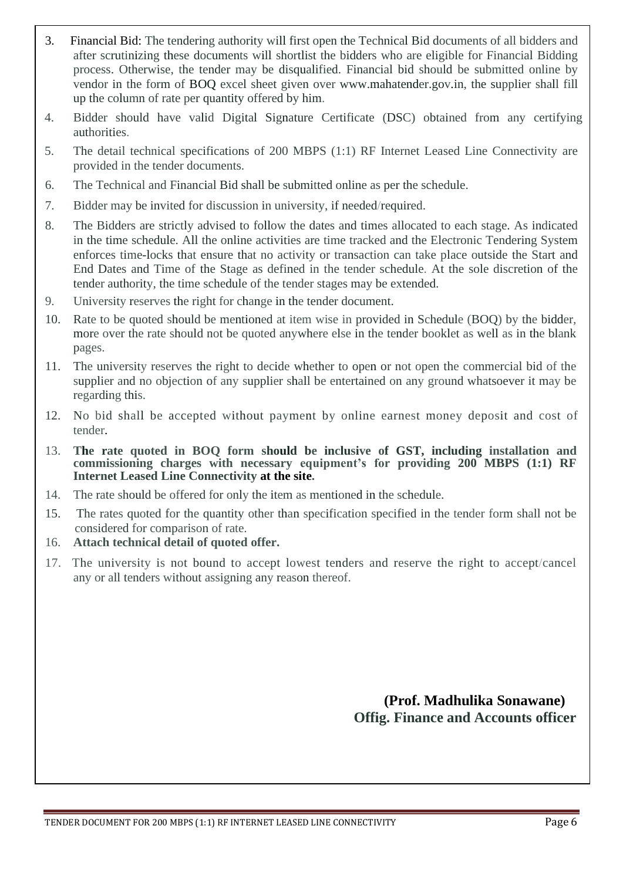- 3. Financial Bid: The tendering authority will first open the Technical Bid documents of all bidders and after scrutinizing these documents will shortlist the bidders who are eligible for Financial Bidding process. Otherwise, the tender may be disqualified. Financial bid should be submitted online by vendor in the form of BOQ excel sheet given over [www.mahatender.gov.in,](http://www.mahatender.gov.in,/) the supplier shall fill up the column of rate per quantity offered by him.
- 4. Bidder should have valid Digital Signature Certificate (DSC) obtained from any certifying authorities.
- 5. The detail technical specifications of 200 MBPS (1:1) RF Internet Leased Line Connectivity are provided in the tender documents.
- 6. The Technical and Financial Bid shall be submitted online as per the schedule.
- 7. Bidder may be invited for discussion in university, if needed/required.
- 8. The Bidders are strictly advised to follow the dates and times allocated to each stage. As indicated in the time schedule. All the online activities are time tracked and the Electronic Tendering System enforces time-locks that ensure that no activity or transaction can take place outside the Start and End Dates and Time of the Stage as defined in the tender schedule. At the sole discretion of the tender authority, the time schedule of the tender stages may be extended.
- 9. University reserves the right for change in the tender document.
- 10. Rate to be quoted should be mentioned at item wise in provided in Schedule (BOQ) by the bidder, more over the rate should not be quoted anywhere else in the tender booklet as well as in the blank pages.
- 11. The university reserves the right to decide whether to open or not open the commercial bid of the supplier and no objection of any supplier shall be entertained on any ground whatsoever it may be regarding this.
- 12. No bid shall be accepted without payment by online earnest money deposit and cost of tender.
- 13. **The rate quoted in BOQ form should be inclusive of GST, including installation and commissioning charges with necessary equipment's for providing 200 MBPS (1:1) RF Internet Leased Line Connectivity at the site.**
- 14. The rate should be offered for only the item as mentioned in the schedule.
- 15. The rates quoted for the quantity other than specification specified in the tender form shall not be considered for comparison of rate.
- 16. **Attach technical detail of quoted offer.**
- 17. The university is not bound to accept lowest tenders and reserve the right to accept/cancel any or all tenders without assigning any reason thereof.

**(Prof. Madhulika Sonawane) Offig. Finance and Accounts officer**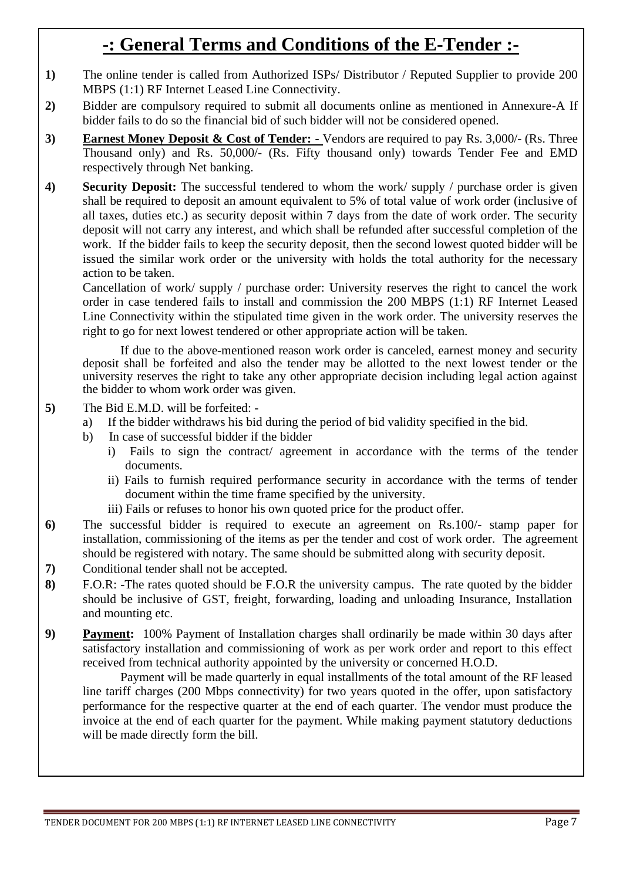# **-: General Terms and Conditions of the E-Tender :-**

- **1)** The online tender is called from Authorized ISPs/ Distributor / Reputed Supplier to provide 200 MBPS (1:1) RF Internet Leased Line Connectivity.
- **2)** Bidder are compulsory required to submit all documents online as mentioned in Annexure-A If bidder fails to do so the financial bid of such bidder will not be considered opened.
- **3) Earnest Money Deposit & Cost of Tender: -** Vendors are required to pay Rs. 3,000/- (Rs. Three Thousand only) and Rs. 50,000/- (Rs. Fifty thousand only) towards Tender Fee and EMD respectively through Net banking.
- **4) Security Deposit:** The successful tendered to whom the work/ supply / purchase order is given shall be required to deposit an amount equivalent to 5% of total value of work order (inclusive of all taxes, duties etc.) as security deposit within 7 days from the date of work order. The security deposit will not carry any interest, and which shall be refunded after successful completion of the work. If the bidder fails to keep the security deposit, then the second lowest quoted bidder will be issued the similar work order or the university with holds the total authority for the necessary action to be taken.

Cancellation of work/ supply / purchase order: University reserves the right to cancel the work order in case tendered fails to install and commission the 200 MBPS (1:1) RF Internet Leased Line Connectivity within the stipulated time given in the work order. The university reserves the right to go for next lowest tendered or other appropriate action will be taken.

If due to the above-mentioned reason work order is canceled, earnest money and security deposit shall be forfeited and also the tender may be allotted to the next lowest tender or the university reserves the right to take any other appropriate decision including legal action against the bidder to whom work order was given.

- **5)** The Bid E.M.D. will be forfeited:
	- a) If the bidder withdraws his bid during the period of bid validity specified in the bid.
	- b) In case of successful bidder if the bidder
		- i) Fails to sign the contract/ agreement in accordance with the terms of the tender documents.
		- ii) Fails to furnish required performance security in accordance with the terms of tender document within the time frame specified by the university.
		- iii) Fails or refuses to honor his own quoted price for the product offer.
- **6)** The successful bidder is required to execute an agreement on Rs.100/- stamp paper for installation, commissioning of the items as per the tender and cost of work order. The agreement should be registered with notary. The same should be submitted along with security deposit.
- **7)** Conditional tender shall not be accepted.
- **8)** F.O.R: -The rates quoted should be F.O.R the university campus. The rate quoted by the bidder should be inclusive of GST, freight, forwarding, loading and unloading Insurance, Installation and mounting etc.
- **9) Payment:** 100% Payment of Installation charges shall ordinarily be made within 30 days after satisfactory installation and commissioning of work as per work order and report to this effect received from technical authority appointed by the university or concerned H.O.D.

Payment will be made quarterly in equal installments of the total amount of the RF leased line tariff charges (200 Mbps connectivity) for two years quoted in the offer, upon satisfactory performance for the respective quarter at the end of each quarter. The vendor must produce the invoice at the end of each quarter for the payment. While making payment statutory deductions will be made directly form the bill.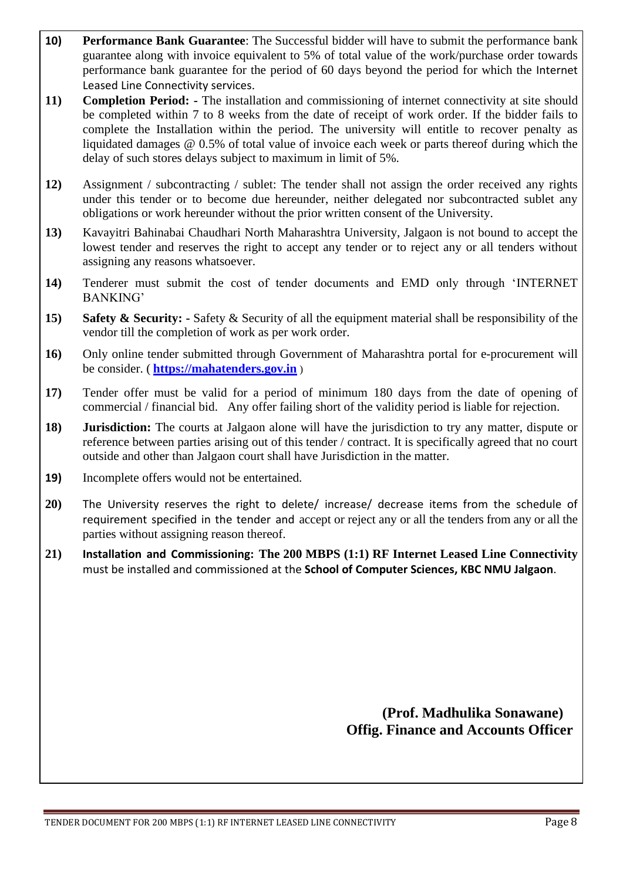- **10) Performance Bank Guarantee**: The Successful bidder will have to submit the performance bank guarantee along with invoice equivalent to 5% of total value of the work/purchase order towards performance bank guarantee for the period of 60 days beyond the period for which the Internet Leased Line Connectivity services.
- **11) Completion Period: -** The installation and commissioning of internet connectivity at site should be completed within 7 to 8 weeks from the date of receipt of work order. If the bidder fails to complete the Installation within the period. The university will entitle to recover penalty as liquidated damages @ 0.5% of total value of invoice each week or parts thereof during which the delay of such stores delays subject to maximum in limit of 5%.
- **12)** Assignment / subcontracting / sublet: The tender shall not assign the order received any rights under this tender or to become due hereunder, neither delegated nor subcontracted sublet any obligations or work hereunder without the prior written consent of the University.
- **13)** Kavayitri Bahinabai Chaudhari North Maharashtra University, Jalgaon is not bound to accept the lowest tender and reserves the right to accept any tender or to reject any or all tenders without assigning any reasons whatsoever.
- **14)** Tenderer must submit the cost of tender documents and EMD only through 'INTERNET BANKING'
- **15) Safety & Security: -** Safety & Security of all the equipment material shall be responsibility of the vendor till the completion of work as per work order.
- **16)** Only online tender submitted through Government of Maharashtra portal for e-procurement will be consider. ( **[https://mahatenders.gov.in](https://mahatenders.gov.in/)** )
- **17)** Tender offer must be valid for a period of minimum 180 days from the date of opening of commercial / financial bid. Any offer failing short of the validity period is liable for rejection.
- **18) Jurisdiction:** The courts at Jalgaon alone will have the jurisdiction to try any matter, dispute or reference between parties arising out of this tender / contract. It is specifically agreed that no court outside and other than Jalgaon court shall have Jurisdiction in the matter.
- **19)** Incomplete offers would not be entertained.
- **20)** The University reserves the right to delete/ increase/ decrease items from the schedule of requirement specified in the tender and accept or reject any or all the tenders from any or all the parties without assigning reason thereof.
- **21) Installation and Commissioning: The 200 MBPS (1:1) RF Internet Leased Line Connectivity** must be installed and commissioned at the **School of Computer Sciences, KBC NMU Jalgaon**.

 **(Prof. Madhulika Sonawane) Offig. Finance and Accounts Officer**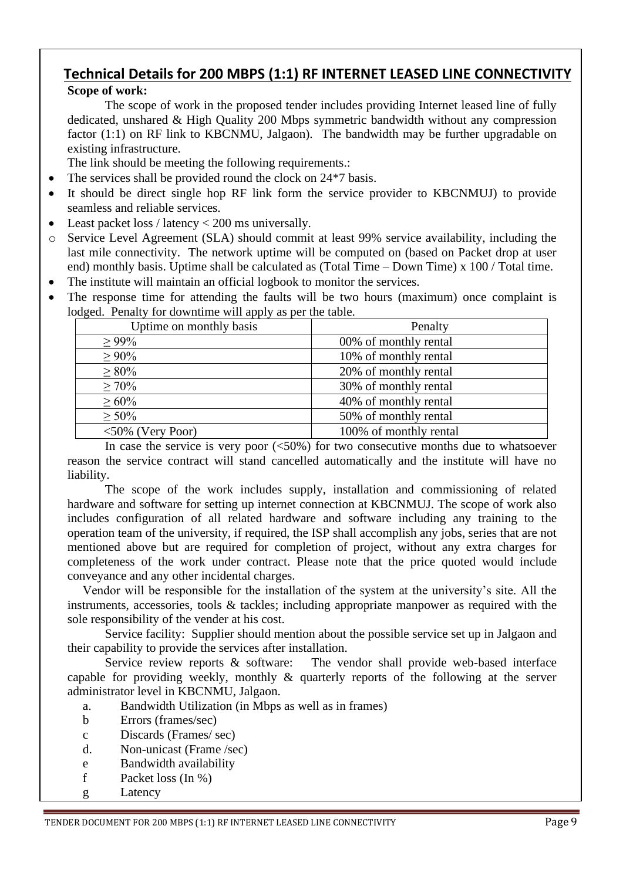# **Technical Details for 200 MBPS (1:1) RF INTERNET LEASED LINE CONNECTIVITY**

#### **Scope of work:**

The scope of work in the proposed tender includes providing Internet leased line of fully dedicated, unshared & High Quality 200 Mbps symmetric bandwidth without any compression factor (1:1) on RF link to KBCNMU, Jalgaon). The bandwidth may be further upgradable on existing infrastructure.

The link should be meeting the following requirements.:

- The services shall be provided round the clock on 24<sup>\*7</sup> basis.
- It should be direct single hop RF link form the service provider to KBCNMUJ) to provide seamless and reliable services.
- Least packet loss / latency < 200 ms universally.
- o Service Level Agreement (SLA) should commit at least 99% service availability, including the last mile connectivity. The network uptime will be computed on (based on Packet drop at user end) monthly basis. Uptime shall be calculated as (Total Time – Down Time) x 100 / Total time.
- The institute will maintain an official logbook to monitor the services.
- The response time for attending the faults will be two hours (maximum) once complaint is lodged. Penalty for downtime will apply as per the table.

| Uptime on monthly basis | Penalty                |
|-------------------------|------------------------|
| $> 99\%$                | 00% of monthly rental  |
| $\geq 90\%$             | 10% of monthly rental  |
| $\geq 80\%$             | 20% of monthly rental  |
| $\geq 70\%$             | 30% of monthly rental  |
| $\geq 60\%$             | 40% of monthly rental  |
| $\geq 50\%$             | 50% of monthly rental  |
| $<50\%$ (Very Poor)     | 100% of monthly rental |

In case the service is very poor  $\left( \langle 50\% \rangle \right)$  for two consecutive months due to whatsoever reason the service contract will stand cancelled automatically and the institute will have no liability.

The scope of the work includes supply, installation and commissioning of related hardware and software for setting up internet connection at KBCNMUJ. The scope of work also includes configuration of all related hardware and software including any training to the operation team of the university, if required, the ISP shall accomplish any jobs, series that are not mentioned above but are required for completion of project, without any extra charges for completeness of the work under contract. Please note that the price quoted would include conveyance and any other incidental charges.

Vendor will be responsible for the installation of the system at the university's site. All the instruments, accessories, tools & tackles; including appropriate manpower as required with the sole responsibility of the vender at his cost.

Service facility: Supplier should mention about the possible service set up in Jalgaon and their capability to provide the services after installation.

Service review reports & software: The vendor shall provide web-based interface capable for providing weekly, monthly & quarterly reports of the following at the server administrator level in KBCNMU, Jalgaon.

- a. Bandwidth Utilization (in Mbps as well as in frames)
- b Errors (frames/sec)
- c Discards (Frames/ sec)
- d. Non-unicast (Frame /sec)
- e Bandwidth availability
- f Packet loss (In %)
- g Latency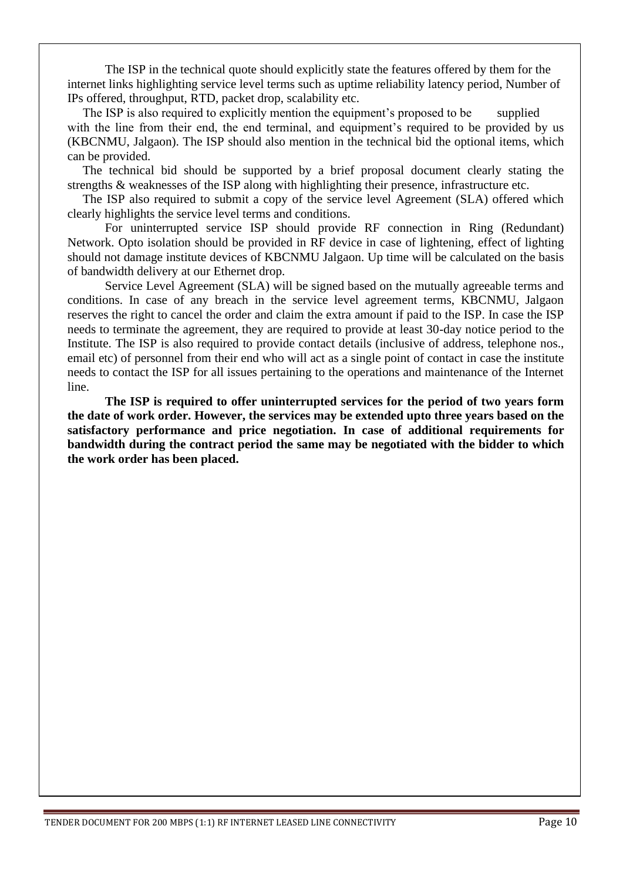The ISP in the technical quote should explicitly state the features offered by them for the internet links highlighting service level terms such as uptime reliability latency period, Number of IPs offered, throughput, RTD, packet drop, scalability etc.

The ISP is also required to explicitly mention the equipment's proposed to be supplied with the line from their end, the end terminal, and equipment's required to be provided by us (KBCNMU, Jalgaon). The ISP should also mention in the technical bid the optional items, which can be provided.

The technical bid should be supported by a brief proposal document clearly stating the strengths & weaknesses of the ISP along with highlighting their presence, infrastructure etc.

The ISP also required to submit a copy of the service level Agreement (SLA) offered which clearly highlights the service level terms and conditions.

For uninterrupted service ISP should provide RF connection in Ring (Redundant) Network. Opto isolation should be provided in RF device in case of lightening, effect of lighting should not damage institute devices of KBCNMU Jalgaon. Up time will be calculated on the basis of bandwidth delivery at our Ethernet drop.

Service Level Agreement (SLA) will be signed based on the mutually agreeable terms and conditions. In case of any breach in the service level agreement terms, KBCNMU, Jalgaon reserves the right to cancel the order and claim the extra amount if paid to the ISP. In case the ISP needs to terminate the agreement, they are required to provide at least 30-day notice period to the Institute. The ISP is also required to provide contact details (inclusive of address, telephone nos., email etc) of personnel from their end who will act as a single point of contact in case the institute needs to contact the ISP for all issues pertaining to the operations and maintenance of the Internet line.

**The ISP is required to offer uninterrupted services for the period of two years form the date of work order. However, the services may be extended upto three years based on the satisfactory performance and price negotiation. In case of additional requirements for bandwidth during the contract period the same may be negotiated with the bidder to which the work order has been placed.**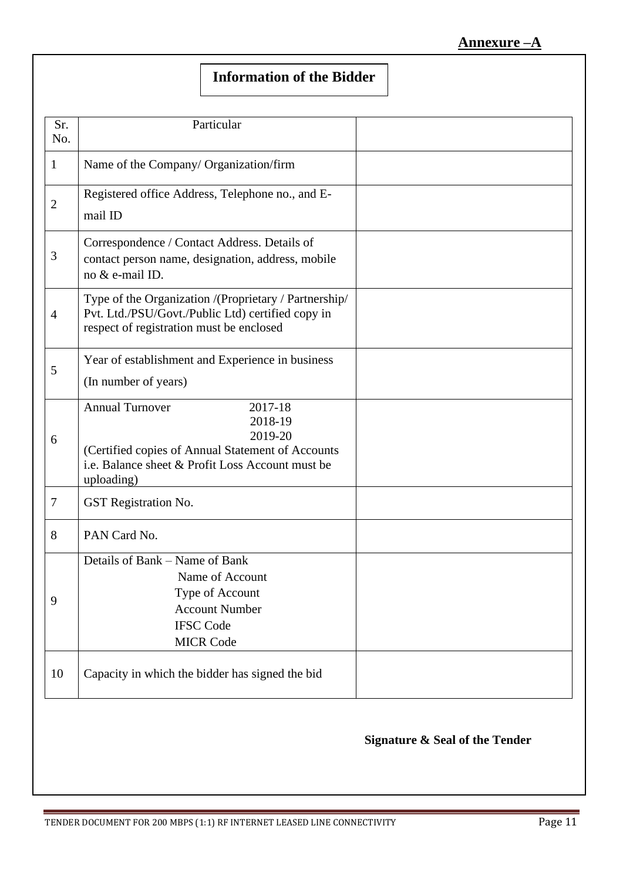# **Information of the Bidder**

| Sr.<br>No.     | Particular                                                                                                                                                                     |  |
|----------------|--------------------------------------------------------------------------------------------------------------------------------------------------------------------------------|--|
| 1              | Name of the Company/ Organization/firm                                                                                                                                         |  |
| $\overline{2}$ | Registered office Address, Telephone no., and E-<br>mail ID                                                                                                                    |  |
| $\mathfrak{Z}$ | Correspondence / Contact Address. Details of<br>contact person name, designation, address, mobile<br>no & e-mail ID.                                                           |  |
| $\overline{4}$ | Type of the Organization /(Proprietary / Partnership/<br>Pvt. Ltd./PSU/Govt./Public Ltd) certified copy in<br>respect of registration must be enclosed                         |  |
| 5              | Year of establishment and Experience in business<br>(In number of years)                                                                                                       |  |
| 6              | <b>Annual Turnover</b><br>2017-18<br>2018-19<br>2019-20<br>(Certified copies of Annual Statement of Accounts<br>i.e. Balance sheet & Profit Loss Account must be<br>uploading) |  |
| $\tau$         | GST Registration No.                                                                                                                                                           |  |
| 8              | PAN Card No.                                                                                                                                                                   |  |
| 9              | Details of Bank – Name of Bank<br>Name of Account<br>Type of Account<br><b>Account Number</b><br><b>IFSC Code</b><br><b>MICR Code</b>                                          |  |
| 10             | Capacity in which the bidder has signed the bid                                                                                                                                |  |

#### **Signature & Seal of the Tender**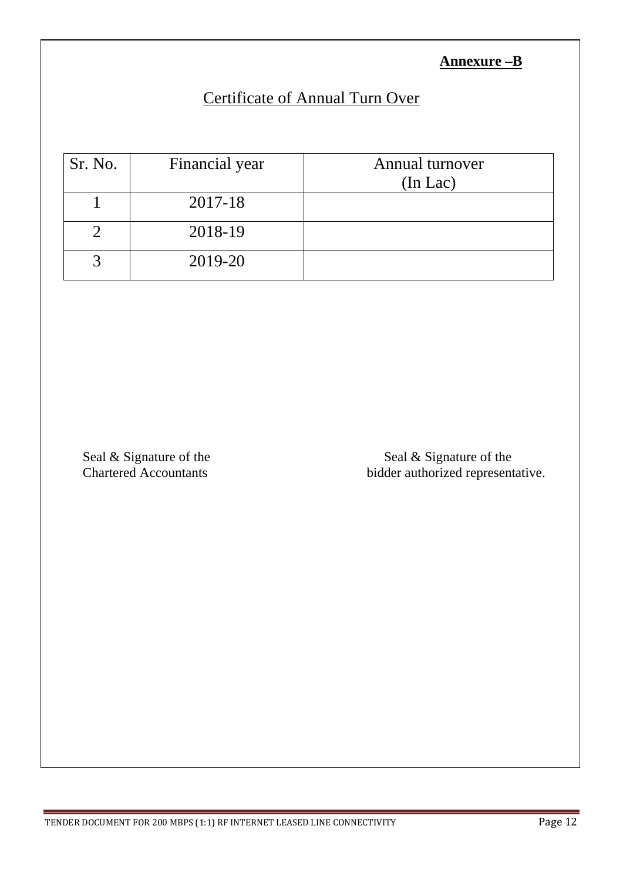#### **Annexure –B**

# Certificate of Annual Turn Over

| Sr. No. | Financial year | Annual turnover<br>$(In$ Lac $)$ |
|---------|----------------|----------------------------------|
|         | 2017-18        |                                  |
|         | 2018-19        |                                  |
|         | 2019-20        |                                  |

Seal & Signature of the Seal & Signature of the Seal & Signature of the Seal & Signature of the Seal & Signature of the Seal & Signature of the Seal & Signature of the Seal & Signature of the Seal & Signature of the Seal & bidder authorized representative.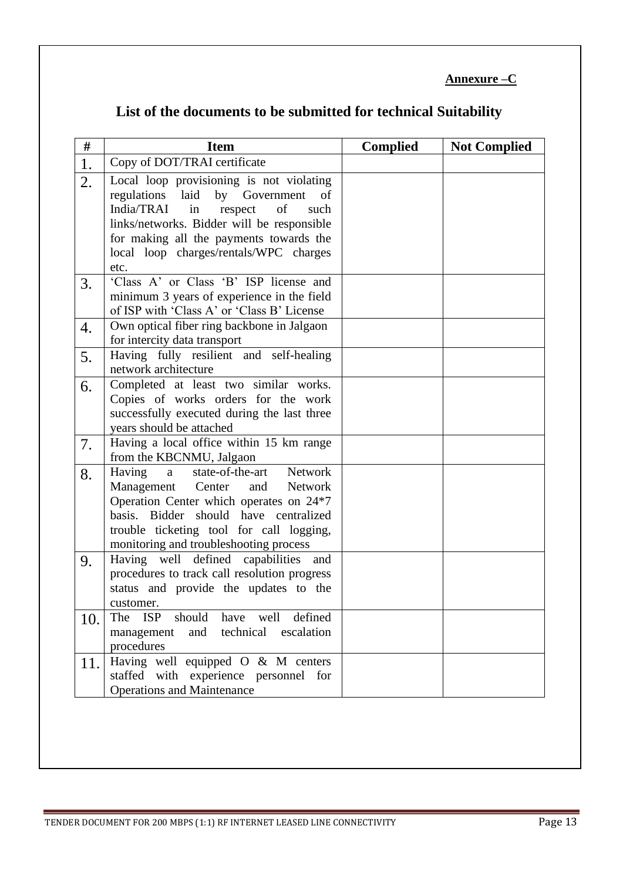#### **Annexure –C**

| List of the documents to be submitted for technical Suitability |  |
|-----------------------------------------------------------------|--|
|-----------------------------------------------------------------|--|

| 1.<br>2. | Copy of DOT/TRAI certificate                                                             |  |
|----------|------------------------------------------------------------------------------------------|--|
|          |                                                                                          |  |
|          | Local loop provisioning is not violating<br>regulations laid<br>by Government<br>of      |  |
|          | India/TRAI<br>of<br>in<br>respect<br>such                                                |  |
|          | links/networks. Bidder will be responsible                                               |  |
|          | for making all the payments towards the                                                  |  |
|          | local loop charges/rentals/WPC charges                                                   |  |
|          | etc.                                                                                     |  |
| 3.       | 'Class A' or Class 'B' ISP license and                                                   |  |
|          | minimum 3 years of experience in the field                                               |  |
|          | of ISP with 'Class A' or 'Class B' License                                               |  |
| 4.       | Own optical fiber ring backbone in Jalgaon                                               |  |
|          | for intercity data transport<br>Having fully resilient and self-healing                  |  |
| 5.       | network architecture                                                                     |  |
| 6.       | Completed at least two similar works.                                                    |  |
|          | Copies of works orders for the work                                                      |  |
|          | successfully executed during the last three                                              |  |
|          | years should be attached                                                                 |  |
| 7.       | Having a local office within 15 km range                                                 |  |
|          | from the KBCNMU, Jalgaon                                                                 |  |
| 8.       | Having<br>state-of-the-art Network<br>a                                                  |  |
|          | Management<br>Center<br>and<br><b>Network</b><br>Operation Center which operates on 24*7 |  |
|          | basis. Bidder should have centralized                                                    |  |
|          | trouble ticketing tool for call logging,                                                 |  |
|          | monitoring and troubleshooting process                                                   |  |
| 9.       | Having well defined capabilities and                                                     |  |
|          | procedures to track call resolution progress                                             |  |
|          | status and provide the updates to the                                                    |  |
|          | customer.                                                                                |  |
| 10.      | defined<br>The ISP should have well                                                      |  |
|          | technical escalation<br>and<br>management<br>procedures                                  |  |
|          | Having well equipped O & M centers                                                       |  |
| 11.      | staffed with experience personnel for                                                    |  |
|          | <b>Operations and Maintenance</b>                                                        |  |
|          |                                                                                          |  |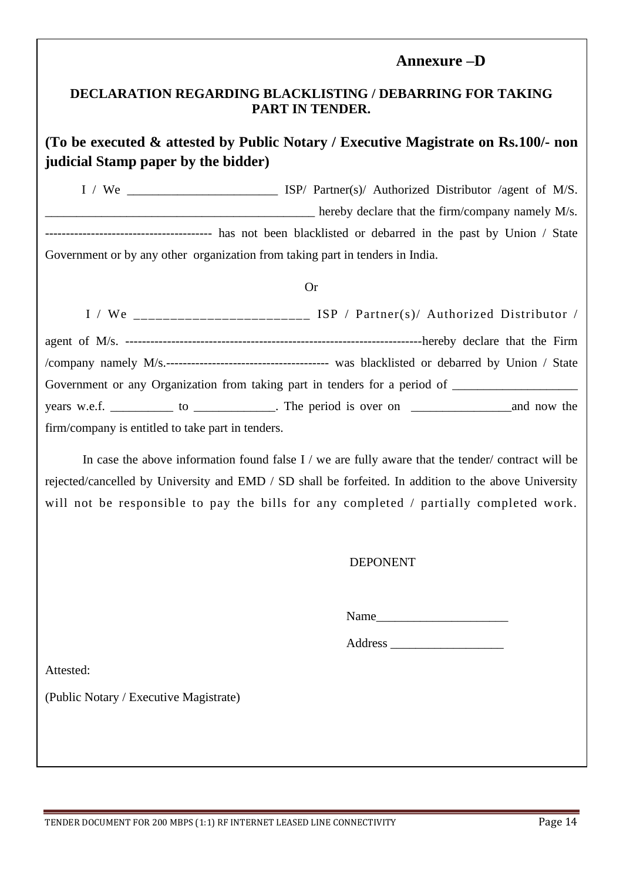#### **Annexure –D**

#### **DECLARATION REGARDING BLACKLISTING / DEBARRING FOR TAKING PART IN TENDER.**

#### **(To be executed & attested by Public Notary / Executive Magistrate on Rs.100/- non judicial Stamp paper by the bidder)**

I / We \_\_\_\_\_\_\_\_\_\_\_\_\_\_\_\_\_\_\_\_\_\_\_\_ ISP/ Partner(s)/ Authorized Distributor /agent of M/S. hereby declare that the firm/company namely M/s. ---------------------------------------- has not been blacklisted or debarred in the past by Union / State Government or by any other organization from taking part in tenders in India.

#### Or

|                                                                                                     | I / We $\frac{1}{1}$ We $\frac{1}{1}$ = $\frac{1}{1}$ = $\frac{1}{1}$ = $\frac{1}{1}$ = $\frac{1}{1}$ = $\frac{1}{1}$ = $\frac{1}{1}$ = $\frac{1}{1}$ = $\frac{1}{1}$ = $\frac{1}{1}$ = $\frac{1}{1}$ = $\frac{1}{1}$ = $\frac{1}{1}$ = $\frac{1}{1}$ = $\frac{1}{1}$ = $\frac{1}{1}$ = $\frac{1}{1}$ |
|-----------------------------------------------------------------------------------------------------|-------------------------------------------------------------------------------------------------------------------------------------------------------------------------------------------------------------------------------------------------------------------------------------------------------|
|                                                                                                     |                                                                                                                                                                                                                                                                                                       |
|                                                                                                     |                                                                                                                                                                                                                                                                                                       |
| Government or any Organization from taking part in tenders for a period of ________________________ |                                                                                                                                                                                                                                                                                                       |
|                                                                                                     |                                                                                                                                                                                                                                                                                                       |
| firm/company is entitled to take part in tenders.                                                   |                                                                                                                                                                                                                                                                                                       |

In case the above information found false I / we are fully aware that the tender/ contract will be rejected/cancelled by University and EMD / SD shall be forfeited. In addition to the above University will not be responsible to pay the bills for any completed / partially completed work.

#### DEPONENT

Name\_\_\_\_\_\_\_\_\_\_\_\_\_\_\_\_\_\_\_\_\_

Address \_\_\_\_\_\_\_\_\_\_\_\_\_\_\_\_\_\_

Attested:

(Public Notary / Executive Magistrate)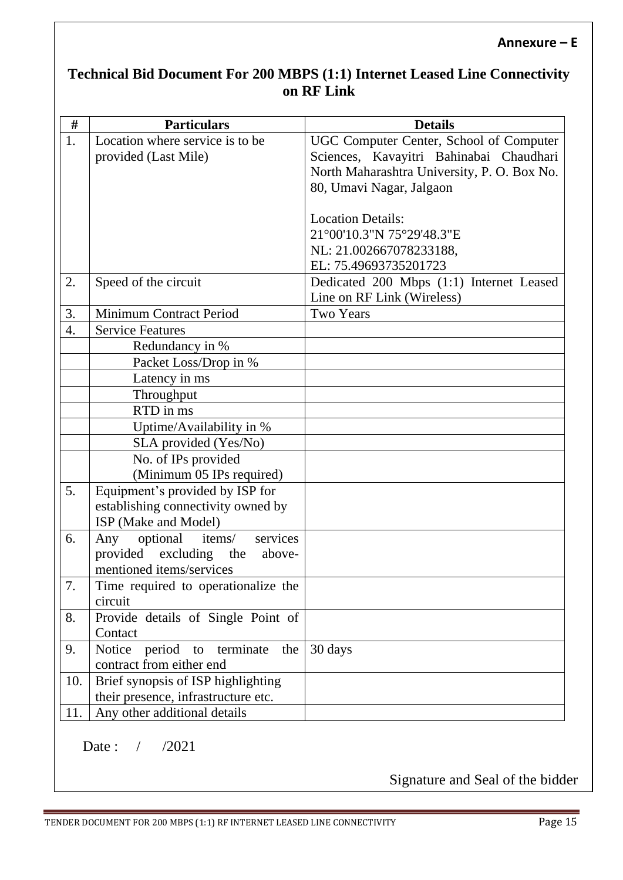#### **Annexure – E**

## **Technical Bid Document For 200 MBPS (1:1) Internet Leased Line Connectivity on RF Link**

| $\#$ | <b>Particulars</b>                                           | <b>Details</b>                              |
|------|--------------------------------------------------------------|---------------------------------------------|
| 1.   | Location where service is to be                              | UGC Computer Center, School of Computer     |
|      | provided (Last Mile)                                         | Sciences, Kavayitri Bahinabai Chaudhari     |
|      |                                                              | North Maharashtra University, P. O. Box No. |
|      |                                                              | 80, Umavi Nagar, Jalgaon                    |
|      |                                                              |                                             |
|      |                                                              | <b>Location Details:</b>                    |
|      |                                                              | 21°00'10.3"N 75°29'48.3"E                   |
|      |                                                              | NL: 21.002667078233188,                     |
|      |                                                              | EL: 75.49693735201723                       |
| 2.   | Speed of the circuit                                         | Dedicated 200 Mbps (1:1) Internet Leased    |
|      |                                                              | Line on RF Link (Wireless)                  |
| 3.   | Minimum Contract Period                                      | <b>Two Years</b>                            |
| 4.   | <b>Service Features</b>                                      |                                             |
|      | Redundancy in %                                              |                                             |
|      | Packet Loss/Drop in %                                        |                                             |
|      | Latency in ms                                                |                                             |
|      | Throughput                                                   |                                             |
|      | RTD in ms                                                    |                                             |
|      | Uptime/Availability in %                                     |                                             |
|      | SLA provided (Yes/No)                                        |                                             |
|      | No. of IPs provided                                          |                                             |
|      | (Minimum 05 IPs required)                                    |                                             |
| 5.   | Equipment's provided by ISP for                              |                                             |
|      | establishing connectivity owned by                           |                                             |
|      | ISP (Make and Model)                                         |                                             |
| 6.   | services<br>optional<br>items/<br>Any                        |                                             |
|      | provided excluding the<br>above-<br>mentioned items/services |                                             |
| 7.   |                                                              |                                             |
|      | Time required to operationalize the<br>circuit               |                                             |
| 8.   | Provide details of Single Point of                           |                                             |
|      | Contact                                                      |                                             |
| 9.   | Notice<br>period to terminate<br>the                         | 30 days                                     |
|      | contract from either end                                     |                                             |
| 10.  | Brief synopsis of ISP highlighting                           |                                             |
|      | their presence, infrastructure etc.                          |                                             |
| 11.  | Any other additional details                                 |                                             |
|      |                                                              |                                             |

Date : / /2021

Signature and Seal of the bidder